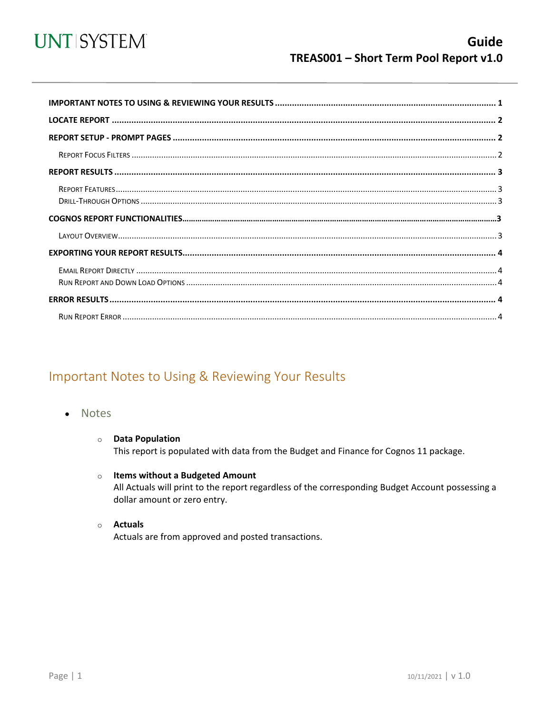

<span id="page-0-0"></span>

## Important Notes to Using & Reviewing Your Results

- **Notes**  $\bullet$ 
	- **O** Data Population This report is populated with data from the Budget and Finance for Cognos 11 package.
	- o Items without a Budgeted Amount All Actuals will print to the report regardless of the corresponding Budget Account possessing a dollar amount or zero entry.
	- o Actuals Actuals are from approved and posted transactions.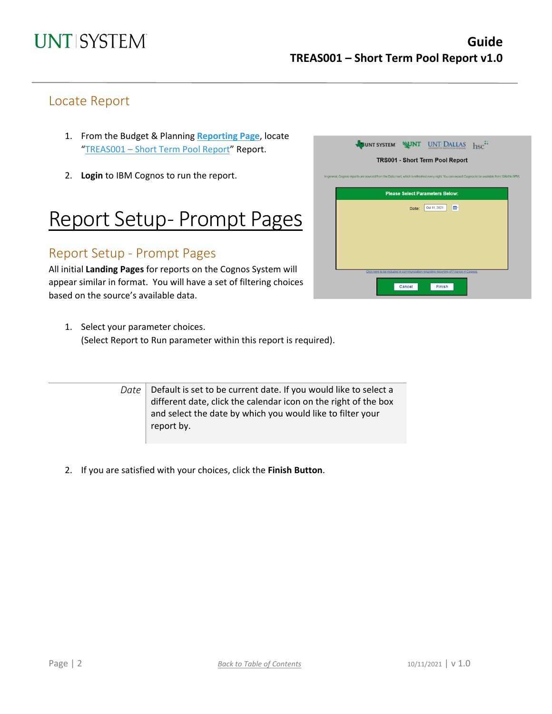### Locate Report

- 1. From the Budget & Planning **[Reporting Page](https://finance.untsystem.edu/reporting)**, locate "TREAS001 – [Short Term Pool Report"](https://cognospd.admin.unt.edu/bi/?pathRef=.public_folders%2FBudget%2Band%2BFinance%2BBasic%2BReports%2FTreasury%2FTREAS001%2B%25E2%2580%2593%2BShort%2BTerm%2BPool%2BReport) Report.
- 2. **Login** to IBM Cognos to run the report.

## Report Setup- Prompt Pages

### Report Setup - Prompt Pages

All initial **Landing Pages** for reports on the Cognos System will appear similar in format. You will have a set of filtering choices based on the source's available data.

1. Select your parameter choices. (Select Report to Run parameter within this report is required).

> *Date* Default is set to be current date. If you would like to select a different date, click the calendar icon on the right of the box and select the date by which you would like to filter your report by.

2. If you are satisfied with your choices, click the **Finish Button**.

|       | <b>TRS001 - Short Term Pool Report</b>                                                                                                             |  |
|-------|----------------------------------------------------------------------------------------------------------------------------------------------------|--|
|       | In general, Cognos reports are sourced from the Data mart, which is refreshed every night. You can expect Cognos to be available from 12AM to 9PM. |  |
|       |                                                                                                                                                    |  |
|       | <b>Please Select Parameters Below:</b>                                                                                                             |  |
| Date: | 回<br>Oct 11, 2021                                                                                                                                  |  |
|       |                                                                                                                                                    |  |
|       |                                                                                                                                                    |  |
|       |                                                                                                                                                    |  |
|       |                                                                                                                                                    |  |
|       |                                                                                                                                                    |  |
|       | Click here to be included in communication regarding reporting of Finance in Cognos                                                                |  |
|       |                                                                                                                                                    |  |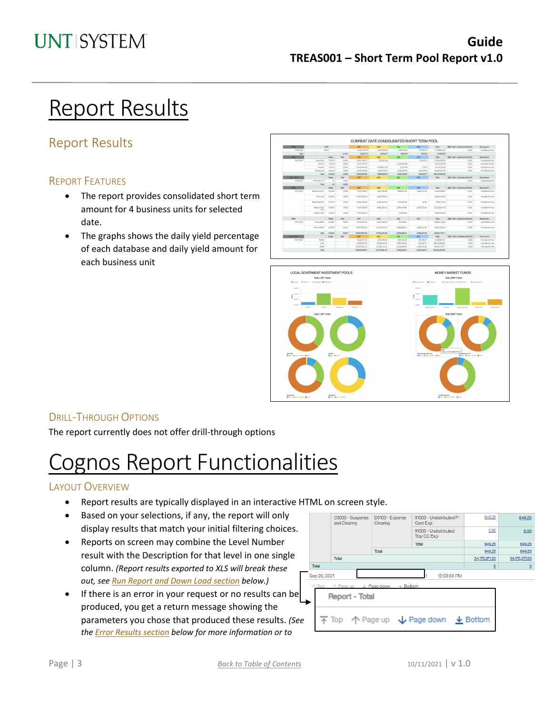## Report Results

## Report Results

#### REPORT FEATURES

- The report provides consolidated short term amount for 4 business units for selected date.
- The graphs shows the daily yield percentage of each database and daily yield amount for each business unit





### DRILL-THROUGH OPTIONS

The report currently does not offer drill-through options

## Cognos Report Functionalities

### LAYOUT OVERVIEW

- Report results are typically displayed in an interactive HTML on screen style.
- Based on your selections, if any, the report will only display results that match your initial filtering choices.
- Reports on screen may combine the Level Number result with the Description for that level in one single column. *(Report results exported to XLS will break these out, see Run Report and Down Load section below.)*
- If there is an error in your request or no results can be produced, you get a return message showing the parameters you chose that produced these results. *(See th[e Error Results section](#page-3-0) below for more information or to*